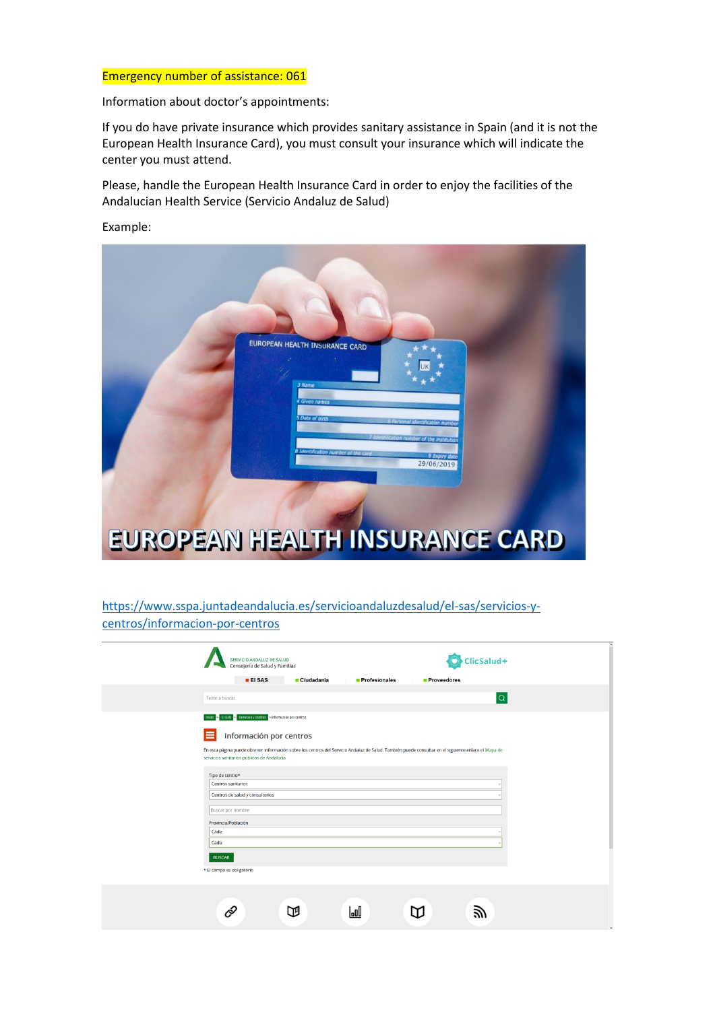#### Emergency number of assistance: 061

Information about doctor's appointments:

If you do have private insurance which provides sanitary assistance in Spain (and it is not the European Health Insurance Card), you must consult your insurance which will indicate the center you must attend.

Please, handle the European Health Insurance Card in order to enjoy the facilities of the Andalucian Health Service (Servicio Andaluz de Salud)

Example:



# [https://www.sspa.juntadeandalucia.es/servicioandaluzdesalud/el-sas/servicios-y](https://www.sspa.juntadeandalucia.es/servicioandaluzdesalud/el-sas/servicios-y-centros/informacion-por-centros)[centros/informacion-por-centros](https://www.sspa.juntadeandalucia.es/servicioandaluzdesalud/el-sas/servicios-y-centros/informacion-por-centros)

| SERVICIO ANDALUZ DE SALUD<br>Consejería de Salud y Familias<br>$E$ EI SAS<br>■ Ciudadanía<br><b>Profesionales</b><br><b>Proveedores</b><br>Texto a buscar<br>Senicios y centros > Información por centros<br><b>EI SAS</b><br>Información por centros<br>En esta página puede obtener información sobre los centros del Servicio Andaluz de Salud. También puede consultar en el siguiente enlace el Mapa de<br>servicios sanitarios públicos de Andalucía<br>Tipo de centro*<br><b>Centros sanitarios</b><br>Centros de salud y consultorios<br><b>Buscar por nombre</b><br>Provincia/Población<br>Cádiz<br>Cádiz<br><b>BUSCAR</b><br>* El campo es obligatorio<br>ГM |             |  |    |  |                          |
|------------------------------------------------------------------------------------------------------------------------------------------------------------------------------------------------------------------------------------------------------------------------------------------------------------------------------------------------------------------------------------------------------------------------------------------------------------------------------------------------------------------------------------------------------------------------------------------------------------------------------------------------------------------------|-------------|--|----|--|--------------------------|
|                                                                                                                                                                                                                                                                                                                                                                                                                                                                                                                                                                                                                                                                        |             |  |    |  | ClicSalud+               |
|                                                                                                                                                                                                                                                                                                                                                                                                                                                                                                                                                                                                                                                                        |             |  |    |  |                          |
|                                                                                                                                                                                                                                                                                                                                                                                                                                                                                                                                                                                                                                                                        |             |  |    |  |                          |
|                                                                                                                                                                                                                                                                                                                                                                                                                                                                                                                                                                                                                                                                        |             |  |    |  | $\vert \mathsf{Q} \vert$ |
|                                                                                                                                                                                                                                                                                                                                                                                                                                                                                                                                                                                                                                                                        | Inicio<br>Е |  |    |  |                          |
|                                                                                                                                                                                                                                                                                                                                                                                                                                                                                                                                                                                                                                                                        |             |  |    |  |                          |
|                                                                                                                                                                                                                                                                                                                                                                                                                                                                                                                                                                                                                                                                        |             |  |    |  |                          |
|                                                                                                                                                                                                                                                                                                                                                                                                                                                                                                                                                                                                                                                                        |             |  |    |  |                          |
|                                                                                                                                                                                                                                                                                                                                                                                                                                                                                                                                                                                                                                                                        |             |  |    |  |                          |
|                                                                                                                                                                                                                                                                                                                                                                                                                                                                                                                                                                                                                                                                        |             |  |    |  |                          |
|                                                                                                                                                                                                                                                                                                                                                                                                                                                                                                                                                                                                                                                                        |             |  |    |  |                          |
|                                                                                                                                                                                                                                                                                                                                                                                                                                                                                                                                                                                                                                                                        |             |  |    |  |                          |
|                                                                                                                                                                                                                                                                                                                                                                                                                                                                                                                                                                                                                                                                        |             |  |    |  |                          |
|                                                                                                                                                                                                                                                                                                                                                                                                                                                                                                                                                                                                                                                                        |             |  |    |  |                          |
|                                                                                                                                                                                                                                                                                                                                                                                                                                                                                                                                                                                                                                                                        |             |  |    |  |                          |
|                                                                                                                                                                                                                                                                                                                                                                                                                                                                                                                                                                                                                                                                        |             |  |    |  |                          |
|                                                                                                                                                                                                                                                                                                                                                                                                                                                                                                                                                                                                                                                                        |             |  |    |  |                          |
|                                                                                                                                                                                                                                                                                                                                                                                                                                                                                                                                                                                                                                                                        |             |  |    |  |                          |
|                                                                                                                                                                                                                                                                                                                                                                                                                                                                                                                                                                                                                                                                        |             |  |    |  |                          |
|                                                                                                                                                                                                                                                                                                                                                                                                                                                                                                                                                                                                                                                                        |             |  |    |  |                          |
|                                                                                                                                                                                                                                                                                                                                                                                                                                                                                                                                                                                                                                                                        |             |  | al |  |                          |
|                                                                                                                                                                                                                                                                                                                                                                                                                                                                                                                                                                                                                                                                        |             |  |    |  |                          |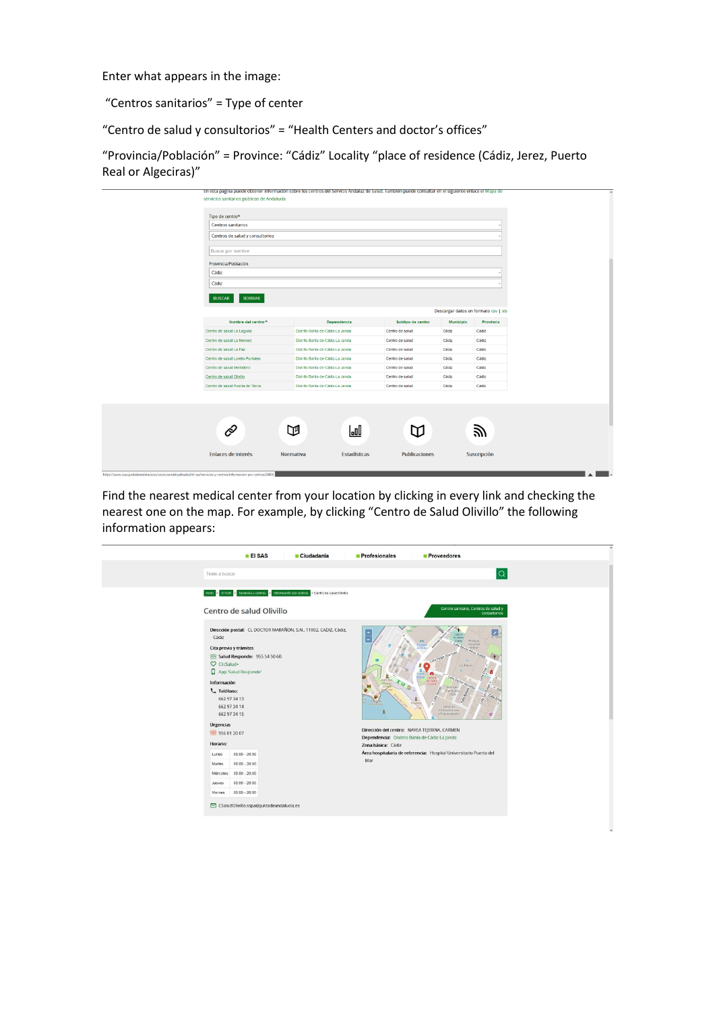Enter what appears in the image:

"Centros sanitarios" = Type of center

"Centro de salud y consultorios" = "Health Centers and doctor's offices"

"Provincia/Población" = Province: "Cádiz" Locality "place of residence (Cádiz, Jerez, Puerto Real or Algeciras)"

| Tipo de centro*<br>Centros sanitarios                        |                                                                      |                   |                                      |           |
|--------------------------------------------------------------|----------------------------------------------------------------------|-------------------|--------------------------------------|-----------|
| Centros de salud y consultorios                              |                                                                      |                   |                                      |           |
|                                                              |                                                                      |                   |                                      |           |
| <b>Buscar por nombre</b>                                     |                                                                      |                   |                                      |           |
| Provincia/Población                                          |                                                                      |                   |                                      |           |
| Cádiz                                                        |                                                                      |                   |                                      |           |
| Cádiz                                                        |                                                                      |                   |                                      |           |
| <b>BORRAR</b><br><b>BUSCAR</b>                               |                                                                      |                   |                                      |           |
|                                                              |                                                                      |                   |                                      |           |
|                                                              |                                                                      |                   | Descargar datos en formato csv   xls |           |
| Nombre del centro $\triangle$                                | Dependencia                                                          | Subtipo de centro | <b>Municipio</b>                     | Provincia |
| Centro de salud La Laguna                                    | Distrito Bahía de Cádiz-La Janda                                     | Centro de salud   | Cádiz                                | Cádiz     |
| Centro de salud La Merced                                    | Distrito Bahía de Cádiz-La Janda                                     | Centro de salud   | Cádiz                                | Cádiz     |
| Centro de salud La Paz                                       | Distrito Bahía de Cádiz-La Janda                                     | Centro de salud   | Cádiz                                | Cádiz     |
| Centro de salud Loreto-Puntales                              | Distrito Bahía de Cádiz-La Janda                                     | Centro de salud   | Cádiz                                | Cádiz     |
| Centro de salud Mentidero                                    | Distrito Bahía de Cádiz-La Janda                                     | Centro de salud   | Cádiz                                | Cádiz     |
|                                                              |                                                                      | Centro de salud   | Cádiz                                | Cádiz     |
| Centro de salud Olivillo<br>Centro de salud Puerta de Tierra | Distrito Bahía de Cádiz-La Janda<br>Distrito Bahía de Cádiz-La Janda | Centro de salud   | Cádiz                                | Cádiz     |

Find the nearest medical center from your location by clicking in every link and checking the nearest one on the map. For example, by clicking "Centro de Salud Olivillo" the following information appears:

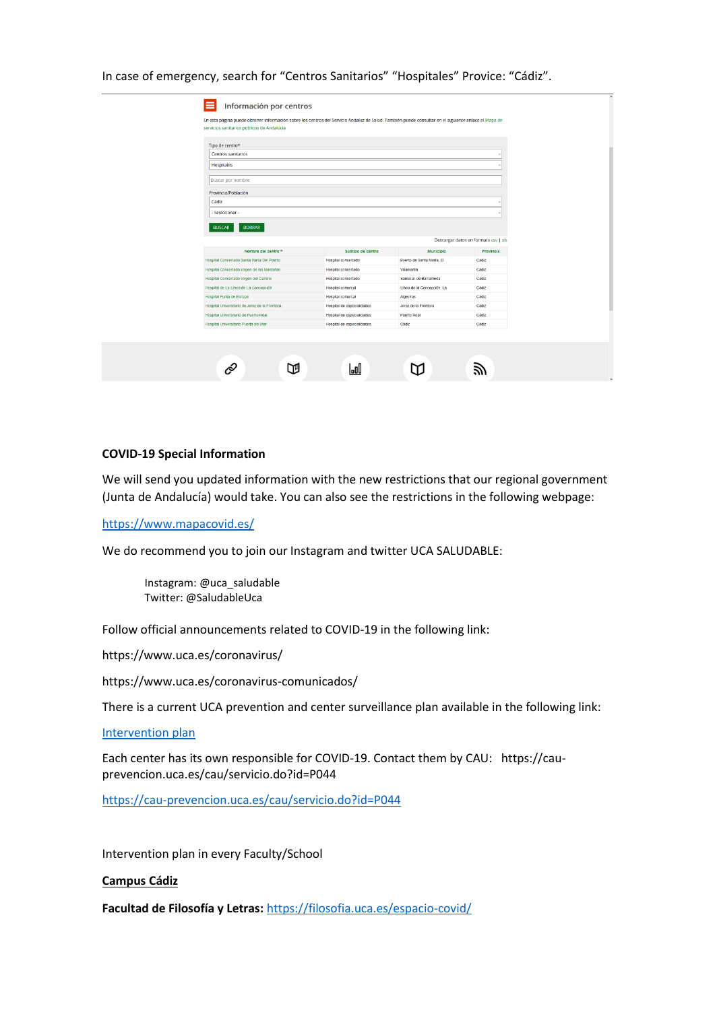| Tipo de centro*<br>Centros sanitarios<br>Hospitales<br><b>Buscar por nombre</b><br>Provincia/Población<br>Cádiz<br>- Seleccionar -<br><b>BORRAR</b><br><b>BUSCAR</b><br>Descargar datos en formato csv   xls<br>Nombre del centro <sup>4</sup><br>Subtipo de centro<br><b>Municipio</b><br>Hospital concertado<br>Puerto de Santa María, El<br>Cádiz<br>Cádiz<br>Hospital concertado<br>Villamartín<br>Cádiz<br>Hospital concertado<br>Sanlúcar de Barrameda<br>Línea de la Concepción, La<br>Cádiz<br>Hospital comarcal<br>Cádiz<br>Hospital comarcal<br>Algeciras<br>Cádiz<br>Hospital de especialidades<br>Jerez de la Frontera<br>Hospital de especialidades<br>Puerto Real<br>Cádiz<br>Cádiz<br>Cádiz<br>Hospital de especialidades |                                                                                |  |           |
|------------------------------------------------------------------------------------------------------------------------------------------------------------------------------------------------------------------------------------------------------------------------------------------------------------------------------------------------------------------------------------------------------------------------------------------------------------------------------------------------------------------------------------------------------------------------------------------------------------------------------------------------------------------------------------------------------------------------------------------|--------------------------------------------------------------------------------|--|-----------|
|                                                                                                                                                                                                                                                                                                                                                                                                                                                                                                                                                                                                                                                                                                                                          |                                                                                |  |           |
|                                                                                                                                                                                                                                                                                                                                                                                                                                                                                                                                                                                                                                                                                                                                          |                                                                                |  |           |
|                                                                                                                                                                                                                                                                                                                                                                                                                                                                                                                                                                                                                                                                                                                                          |                                                                                |  |           |
|                                                                                                                                                                                                                                                                                                                                                                                                                                                                                                                                                                                                                                                                                                                                          |                                                                                |  |           |
|                                                                                                                                                                                                                                                                                                                                                                                                                                                                                                                                                                                                                                                                                                                                          |                                                                                |  |           |
|                                                                                                                                                                                                                                                                                                                                                                                                                                                                                                                                                                                                                                                                                                                                          |                                                                                |  |           |
|                                                                                                                                                                                                                                                                                                                                                                                                                                                                                                                                                                                                                                                                                                                                          |                                                                                |  |           |
|                                                                                                                                                                                                                                                                                                                                                                                                                                                                                                                                                                                                                                                                                                                                          |                                                                                |  |           |
|                                                                                                                                                                                                                                                                                                                                                                                                                                                                                                                                                                                                                                                                                                                                          |                                                                                |  |           |
|                                                                                                                                                                                                                                                                                                                                                                                                                                                                                                                                                                                                                                                                                                                                          |                                                                                |  |           |
|                                                                                                                                                                                                                                                                                                                                                                                                                                                                                                                                                                                                                                                                                                                                          |                                                                                |  | Provincia |
|                                                                                                                                                                                                                                                                                                                                                                                                                                                                                                                                                                                                                                                                                                                                          | Hospital Concertado Santa María Del Puerto                                     |  |           |
|                                                                                                                                                                                                                                                                                                                                                                                                                                                                                                                                                                                                                                                                                                                                          | Hospital Concertado Virgen de las Montañas                                     |  |           |
|                                                                                                                                                                                                                                                                                                                                                                                                                                                                                                                                                                                                                                                                                                                                          | Hospital Concertado Virgen del Camino<br>Hospital de La Línea de La Concepción |  |           |
|                                                                                                                                                                                                                                                                                                                                                                                                                                                                                                                                                                                                                                                                                                                                          | Hospital Punta de Europa                                                       |  |           |
|                                                                                                                                                                                                                                                                                                                                                                                                                                                                                                                                                                                                                                                                                                                                          | Hospital Universitario de Jerez de la Frontera                                 |  |           |
|                                                                                                                                                                                                                                                                                                                                                                                                                                                                                                                                                                                                                                                                                                                                          | Hospital Universitario de Puerto Real                                          |  |           |
|                                                                                                                                                                                                                                                                                                                                                                                                                                                                                                                                                                                                                                                                                                                                          | Hospital Universitario Puerta del Mar                                          |  |           |
|                                                                                                                                                                                                                                                                                                                                                                                                                                                                                                                                                                                                                                                                                                                                          |                                                                                |  |           |
|                                                                                                                                                                                                                                                                                                                                                                                                                                                                                                                                                                                                                                                                                                                                          |                                                                                |  |           |
| laal                                                                                                                                                                                                                                                                                                                                                                                                                                                                                                                                                                                                                                                                                                                                     |                                                                                |  |           |

#### In case of emergency, search for "Centros Sanitarios" "Hospitales" Provice: "Cádiz".

### **COVID-19 Special Information**

We will send you updated information with the new restrictions that our regional government (Junta de Andalucía) would take. You can also see the restrictions in the following webpage:

#### <https://www.mapacovid.es/>

We do recommend you to join our Instagram and twitter UCA SALUDABLE:

Instagram: @uca\_saludable Twitter: @SaludableUca

Follow official announcements related to COVID-19 in the following link:

<https://www.uca.es/coronavirus/>

<https://www.uca.es/coronavirus-comunicados/>

There is a current UCA prevention and center surveillance plan available in the following link:

[Intervention](https://www.uca.es/wp-content/uploads/2020/09/PLAN-UCA-PREVENCION_-PROTECCION-Y-VIGILANCIA-DE-LOS-CENTROS-COVID-19-CURSO-2020_2021def.pdf) plan

Each center has its own responsible for COVID-19. Contact them by CAU: [https://cau](https://cau-prevencion.uca.es/cau/servicio.do?id=P044)[prevencion.uca.es/cau/servicio.do?id=P044](https://cau-prevencion.uca.es/cau/servicio.do?id=P044)

<https://cau-prevencion.uca.es/cau/servicio.do?id=P044>

Intervention plan in every Faculty/School

#### **Campus Cádiz**

**Facultad de Filosofía y Letras:** <https://filosofia.uca.es/espacio-covid/>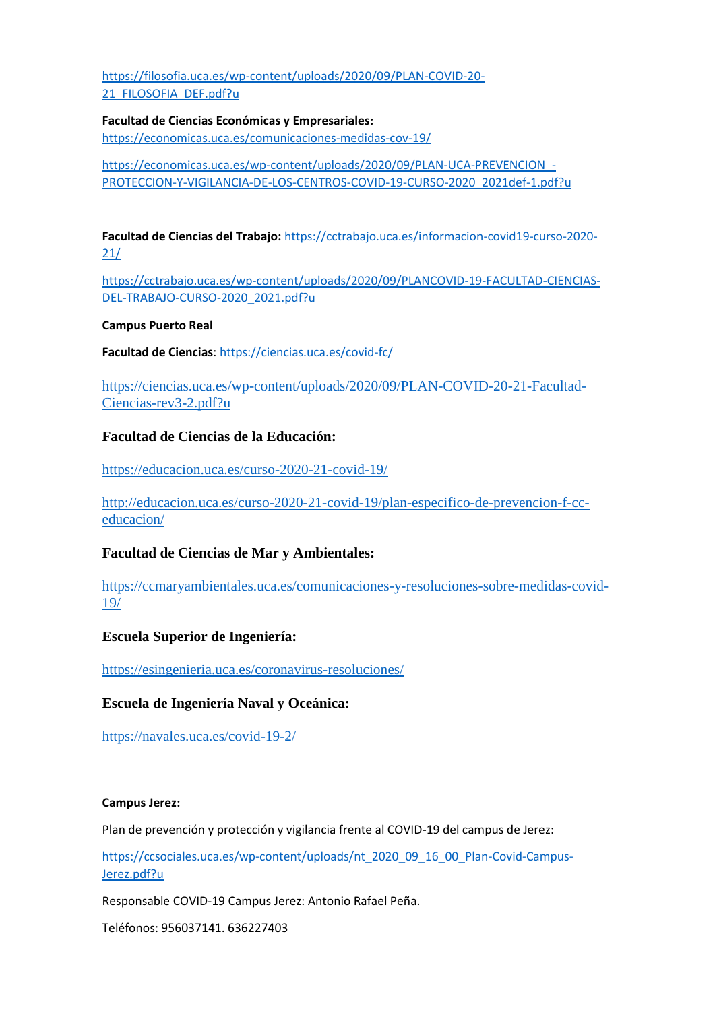[https://filosofia.uca.es/wp-content/uploads/2020/09/PLAN-COVID-20-](https://filosofia.uca.es/wp-content/uploads/2020/09/PLAN-COVID-20-21_FILOSOFIA_DEF.pdf?u) [21\\_FILOSOFIA\\_DEF.pdf?u](https://filosofia.uca.es/wp-content/uploads/2020/09/PLAN-COVID-20-21_FILOSOFIA_DEF.pdf?u)

**Facultad de Ciencias Económicas y Empresariales:**  <https://economicas.uca.es/comunicaciones-medidas-cov-19/>

[https://economicas.uca.es/wp-content/uploads/2020/09/PLAN-UCA-PREVENCION\\_-](https://economicas.uca.es/wp-content/uploads/2020/09/PLAN-UCA-PREVENCION_-PROTECCION-Y-VIGILANCIA-DE-LOS-CENTROS-COVID-19-CURSO-2020_2021def-1.pdf?u) [PROTECCION-Y-VIGILANCIA-DE-LOS-CENTROS-COVID-19-CURSO-2020\\_2021def-1.pdf?u](https://economicas.uca.es/wp-content/uploads/2020/09/PLAN-UCA-PREVENCION_-PROTECCION-Y-VIGILANCIA-DE-LOS-CENTROS-COVID-19-CURSO-2020_2021def-1.pdf?u)

**Facultad de Ciencias del Trabajo:** [https://cctrabajo.uca.es/informacion-covid19-curso-2020-](https://cctrabajo.uca.es/informacion-covid19-curso-2020-21/) [21/](https://cctrabajo.uca.es/informacion-covid19-curso-2020-21/)

[https://cctrabajo.uca.es/wp-content/uploads/2020/09/PLANCOVID-19-FACULTAD-CIENCIAS-](https://cctrabajo.uca.es/wp-content/uploads/2020/09/PLANCOVID-19-FACULTAD-CIENCIAS-DEL-TRABAJO-CURSO-2020_2021.pdf?u)[DEL-TRABAJO-CURSO-2020\\_2021.pdf?u](https://cctrabajo.uca.es/wp-content/uploads/2020/09/PLANCOVID-19-FACULTAD-CIENCIAS-DEL-TRABAJO-CURSO-2020_2021.pdf?u)

### **Campus Puerto Real**

**Facultad de Ciencias**:<https://ciencias.uca.es/covid-fc/>

[https://ciencias.uca.es/wp-content/uploads/2020/09/PLAN-COVID-20-21-Facultad-](https://ciencias.uca.es/wp-content/uploads/2020/09/PLAN-COVID-20-21-Facultad-Ciencias-rev3-2.pdf?u)[Ciencias-rev3-2.pdf?u](https://ciencias.uca.es/wp-content/uploads/2020/09/PLAN-COVID-20-21-Facultad-Ciencias-rev3-2.pdf?u)

# **Facultad de Ciencias de la Educación:**

<https://educacion.uca.es/curso-2020-21-covid-19/>

[http://educacion.uca.es/curso-2020-21-covid-19/plan-especifico-de-prevencion-f-cc](http://educacion.uca.es/curso-2020-21-covid-19/plan-especifico-de-prevencion-f-cc-educacion/)[educacion/](http://educacion.uca.es/curso-2020-21-covid-19/plan-especifico-de-prevencion-f-cc-educacion/)

# **Facultad de Ciencias de Mar y Ambientales:**

[https://ccmaryambientales.uca.es/comunicaciones-y-resoluciones-sobre-medidas-covid-](https://ccmaryambientales.uca.es/comunicaciones-y-resoluciones-sobre-medidas-covid-19/)[19/](https://ccmaryambientales.uca.es/comunicaciones-y-resoluciones-sobre-medidas-covid-19/)

# **Escuela Superior de Ingeniería:**

<https://esingenieria.uca.es/coronavirus-resoluciones/>

# **Escuela de Ingeniería Naval y Oceánica:**

<https://navales.uca.es/covid-19-2/>

### **Campus Jerez:**

Plan de prevención y protección y vigilancia frente al COVID-19 del campus de Jerez:

[https://ccsociales.uca.es/wp-content/uploads/nt\\_2020\\_09\\_16\\_00\\_Plan-Covid-Campus-](https://ccsociales.uca.es/wp-content/uploads/nt_2020_09_16_00_Plan-Covid-Campus-Jerez.pdf?u)[Jerez.pdf?u](https://ccsociales.uca.es/wp-content/uploads/nt_2020_09_16_00_Plan-Covid-Campus-Jerez.pdf?u)

Responsable COVID-19 Campus Jerez: Antonio Rafael Peña.

Teléfonos: 956037141. 636227403